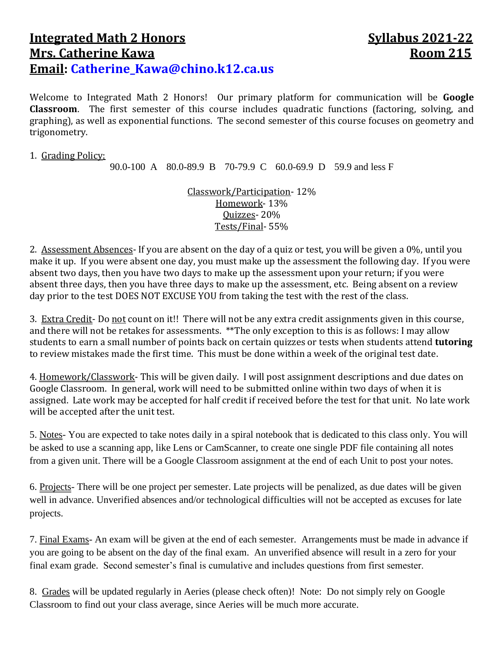## **Integrated Math 2 Honors Syllabus** 2021-22 **Mrs. Catherine Kawa Room 215 Email: [Catherine\\_Kawa@chino.k12.ca.us](mailto:Catherine_Kawa@chino.k12.ca.us)**

Welcome to Integrated Math 2 Honors! Our primary platform for communication will be **Google Classroom**. The first semester of this course includes quadratic functions (factoring, solving, and graphing), as well as exponential functions. The second semester of this course focuses on geometry and trigonometry.

## 1. Grading Policy:

90.0-100 A 80.0-89.9 B 70-79.9 C 60.0-69.9 D 59.9 and less F

Classwork/Participation- 12% Homework- 13% Quizzes- 20% Tests/Final- 55%

2. Assessment Absences- If you are absent on the day of a quiz or test, you will be given a 0%, until you make it up. If you were absent one day, you must make up the assessment the following day. If you were absent two days, then you have two days to make up the assessment upon your return; if you were absent three days, then you have three days to make up the assessment, etc. Being absent on a review day prior to the test DOES NOT EXCUSE YOU from taking the test with the rest of the class.

3. Extra Credit- Do not count on it!! There will not be any extra credit assignments given in this course, and there will not be retakes for assessments. \*\*The only exception to this is as follows: I may allow students to earn a small number of points back on certain quizzes or tests when students attend **tutoring** to review mistakes made the first time. This must be done within a week of the original test date.

4. Homework/Classwork- This will be given daily. I will post assignment descriptions and due dates on Google Classroom. In general, work will need to be submitted online within two days of when it is assigned. Late work may be accepted for half credit if received before the test for that unit. No late work will be accepted after the unit test.

5. Notes- You are expected to take notes daily in a spiral notebook that is dedicated to this class only. You will be asked to use a scanning app, like Lens or CamScanner, to create one single PDF file containing all notes from a given unit. There will be a Google Classroom assignment at the end of each Unit to post your notes.

6. Projects- There will be one project per semester. Late projects will be penalized, as due dates will be given well in advance. Unverified absences and/or technological difficulties will not be accepted as excuses for late projects.

7. Final Exams- An exam will be given at the end of each semester. Arrangements must be made in advance if you are going to be absent on the day of the final exam. An unverified absence will result in a zero for your final exam grade. Second semester's final is cumulative and includes questions from first semester.

8. Grades will be updated regularly in Aeries (please check often)! Note: Do not simply rely on Google Classroom to find out your class average, since Aeries will be much more accurate.